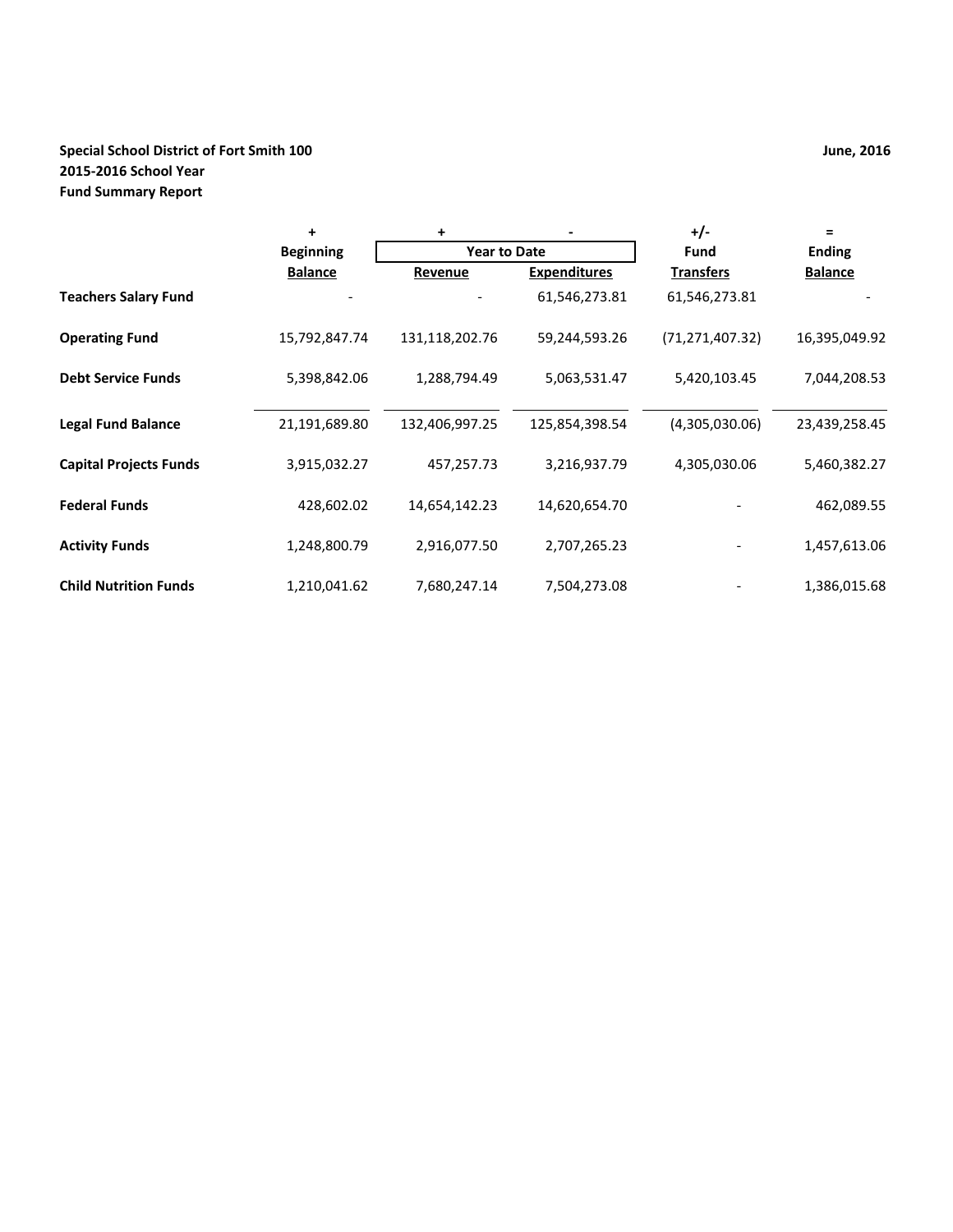## **Special School District of Fort Smith 100 June, 2016 2015-2016 School Year Fund Summary Report**

|                               | $\ddot{}$        | +                   |                     | $+/-$             | $\equiv$       |  |
|-------------------------------|------------------|---------------------|---------------------|-------------------|----------------|--|
|                               | <b>Beginning</b> | <b>Year to Date</b> |                     | Fund              | <b>Ending</b>  |  |
|                               | <b>Balance</b>   | Revenue             | <b>Expenditures</b> | <b>Transfers</b>  | <b>Balance</b> |  |
| <b>Teachers Salary Fund</b>   |                  |                     | 61,546,273.81       | 61,546,273.81     |                |  |
| <b>Operating Fund</b>         | 15,792,847.74    | 131,118,202.76      | 59,244,593.26       | (71, 271, 407.32) | 16,395,049.92  |  |
| <b>Debt Service Funds</b>     | 5,398,842.06     | 1,288,794.49        | 5,063,531.47        | 5,420,103.45      | 7,044,208.53   |  |
| <b>Legal Fund Balance</b>     | 21,191,689.80    | 132,406,997.25      | 125,854,398.54      | (4,305,030.06)    | 23,439,258.45  |  |
| <b>Capital Projects Funds</b> | 3,915,032.27     | 457,257.73          | 3,216,937.79        | 4,305,030.06      | 5,460,382.27   |  |
| <b>Federal Funds</b>          | 428,602.02       | 14,654,142.23       | 14,620,654.70       |                   | 462,089.55     |  |
| <b>Activity Funds</b>         | 1,248,800.79     | 2,916,077.50        | 2,707,265.23        |                   | 1,457,613.06   |  |
| <b>Child Nutrition Funds</b>  | 1,210,041.62     | 7,680,247.14        | 7,504,273.08        |                   | 1,386,015.68   |  |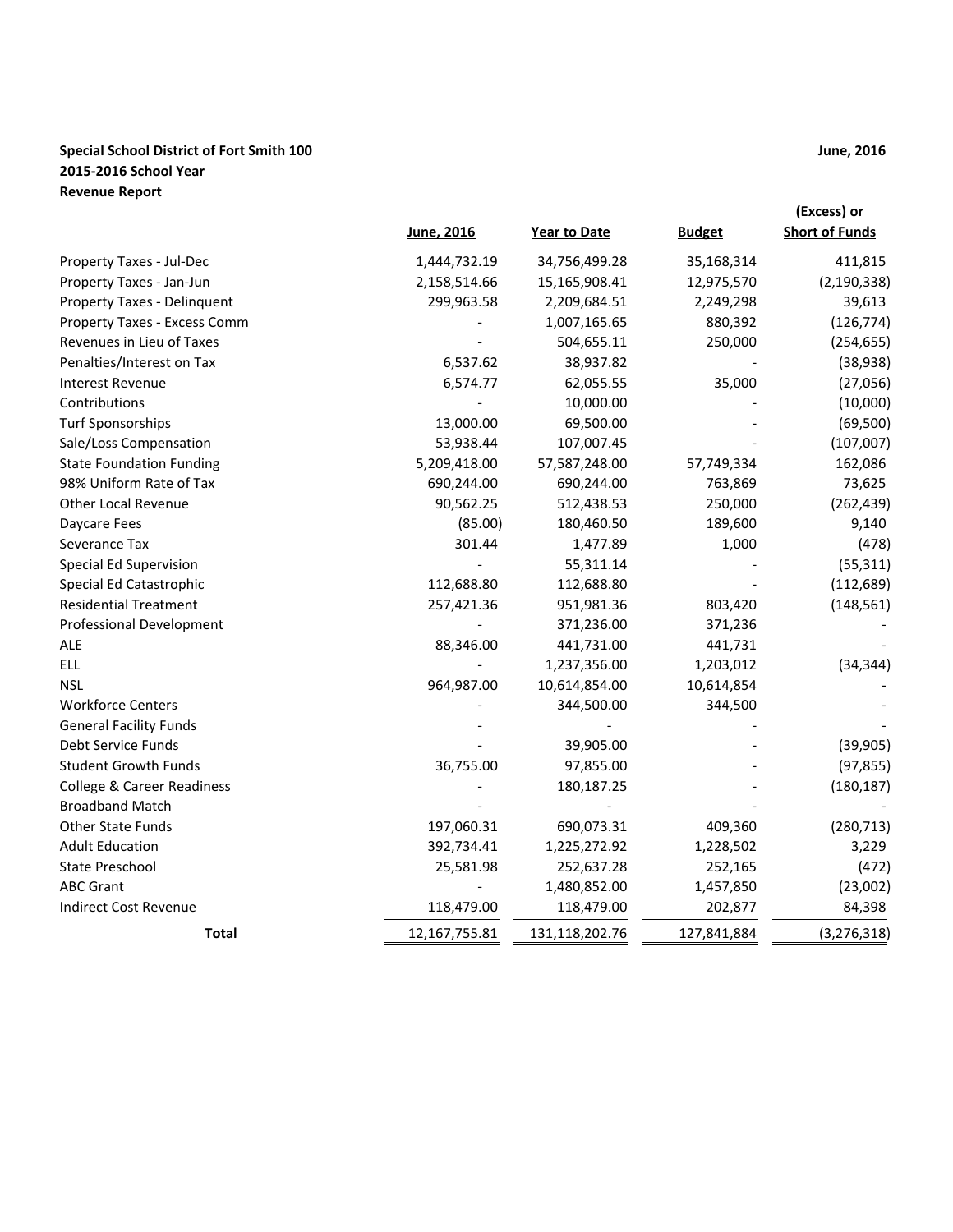## **Special School District of Fort Smith 100 June, 2016 2015-2016 School Year Revenue Report**

|                                       |                 |                |               | (Excess) or           |
|---------------------------------------|-----------------|----------------|---------------|-----------------------|
|                                       | June, 2016      | Year to Date   | <b>Budget</b> | <b>Short of Funds</b> |
| Property Taxes - Jul-Dec              | 1,444,732.19    | 34,756,499.28  | 35,168,314    | 411,815               |
| Property Taxes - Jan-Jun              | 2,158,514.66    | 15,165,908.41  | 12,975,570    | (2, 190, 338)         |
| Property Taxes - Delinquent           | 299,963.58      | 2,209,684.51   | 2,249,298     | 39,613                |
| Property Taxes - Excess Comm          |                 | 1,007,165.65   | 880,392       | (126, 774)            |
| Revenues in Lieu of Taxes             |                 | 504,655.11     | 250,000       | (254, 655)            |
| Penalties/Interest on Tax             | 6,537.62        | 38,937.82      |               | (38, 938)             |
| <b>Interest Revenue</b>               | 6,574.77        | 62,055.55      | 35,000        | (27,056)              |
| Contributions                         |                 | 10,000.00      |               | (10,000)              |
| <b>Turf Sponsorships</b>              | 13,000.00       | 69,500.00      |               | (69, 500)             |
| Sale/Loss Compensation                | 53,938.44       | 107,007.45     |               | (107,007)             |
| <b>State Foundation Funding</b>       | 5,209,418.00    | 57,587,248.00  | 57,749,334    | 162,086               |
| 98% Uniform Rate of Tax               | 690,244.00      | 690,244.00     | 763,869       | 73,625                |
| <b>Other Local Revenue</b>            | 90,562.25       | 512,438.53     | 250,000       | (262, 439)            |
| Daycare Fees                          | (85.00)         | 180,460.50     | 189,600       | 9,140                 |
| Severance Tax                         | 301.44          | 1,477.89       | 1,000         | (478)                 |
| <b>Special Ed Supervision</b>         |                 | 55,311.14      |               | (55, 311)             |
| Special Ed Catastrophic               | 112,688.80      | 112,688.80     |               | (112, 689)            |
| <b>Residential Treatment</b>          | 257,421.36      | 951,981.36     | 803,420       | (148, 561)            |
| <b>Professional Development</b>       |                 | 371,236.00     | 371,236       |                       |
| <b>ALE</b>                            | 88,346.00       | 441,731.00     | 441,731       |                       |
| <b>ELL</b>                            |                 | 1,237,356.00   | 1,203,012     | (34, 344)             |
| <b>NSL</b>                            | 964,987.00      | 10,614,854.00  | 10,614,854    |                       |
| <b>Workforce Centers</b>              |                 | 344,500.00     | 344,500       |                       |
| <b>General Facility Funds</b>         |                 |                |               |                       |
| Debt Service Funds                    |                 | 39,905.00      |               | (39, 905)             |
| <b>Student Growth Funds</b>           | 36,755.00       | 97,855.00      |               | (97, 855)             |
| <b>College &amp; Career Readiness</b> |                 | 180,187.25     |               | (180, 187)            |
| <b>Broadband Match</b>                |                 |                |               |                       |
| <b>Other State Funds</b>              | 197,060.31      | 690,073.31     | 409,360       | (280, 713)            |
| <b>Adult Education</b>                | 392,734.41      | 1,225,272.92   | 1,228,502     | 3,229                 |
| State Preschool                       | 25,581.98       | 252,637.28     | 252,165       | (472)                 |
| <b>ABC Grant</b>                      |                 | 1,480,852.00   | 1,457,850     | (23,002)              |
| <b>Indirect Cost Revenue</b>          | 118,479.00      | 118,479.00     | 202,877       | 84,398                |
| <b>Total</b>                          | 12, 167, 755.81 | 131,118,202.76 | 127,841,884   | (3, 276, 318)         |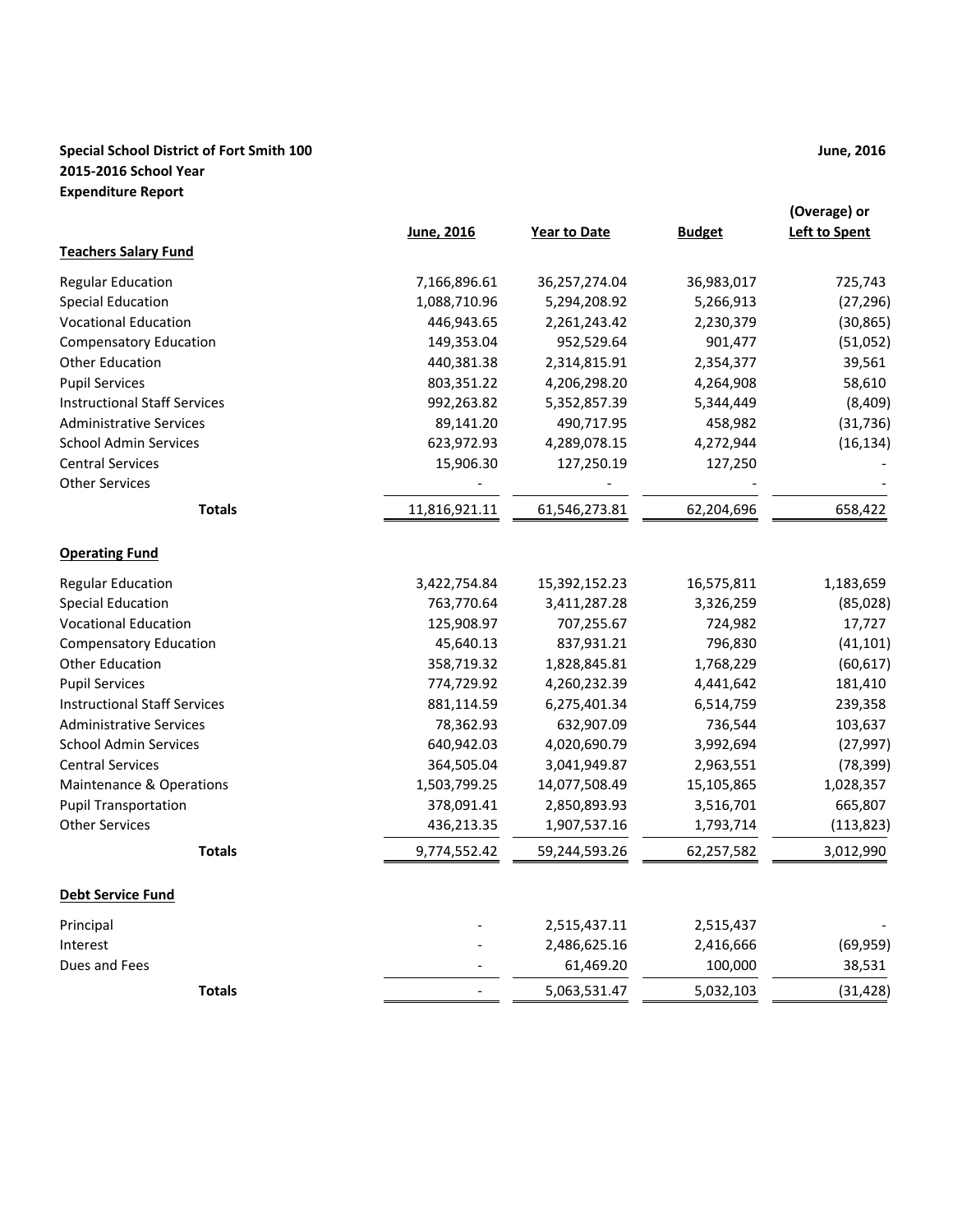## **Special School District of Fort Smith 100 June, 2016 2015-2016 School Year Expenditure Report**

|                                     |               |                     |               | (Overage) or         |
|-------------------------------------|---------------|---------------------|---------------|----------------------|
|                                     | June, 2016    | <b>Year to Date</b> | <b>Budget</b> | <b>Left to Spent</b> |
| <b>Teachers Salary Fund</b>         |               |                     |               |                      |
| <b>Regular Education</b>            | 7,166,896.61  | 36,257,274.04       | 36,983,017    | 725,743              |
| <b>Special Education</b>            | 1,088,710.96  | 5,294,208.92        | 5,266,913     | (27, 296)            |
| <b>Vocational Education</b>         | 446,943.65    | 2,261,243.42        | 2,230,379     | (30, 865)            |
| <b>Compensatory Education</b>       | 149,353.04    | 952,529.64          | 901,477       | (51,052)             |
| <b>Other Education</b>              | 440,381.38    | 2,314,815.91        | 2,354,377     | 39,561               |
| <b>Pupil Services</b>               | 803,351.22    | 4,206,298.20        | 4,264,908     | 58,610               |
| <b>Instructional Staff Services</b> | 992,263.82    | 5,352,857.39        | 5,344,449     | (8,409)              |
| <b>Administrative Services</b>      | 89,141.20     | 490,717.95          | 458,982       | (31, 736)            |
| <b>School Admin Services</b>        | 623,972.93    | 4,289,078.15        | 4,272,944     | (16, 134)            |
| <b>Central Services</b>             | 15,906.30     | 127,250.19          | 127,250       |                      |
| <b>Other Services</b>               |               |                     |               |                      |
| <b>Totals</b>                       | 11,816,921.11 | 61,546,273.81       | 62,204,696    | 658,422              |
| <b>Operating Fund</b>               |               |                     |               |                      |
| <b>Regular Education</b>            | 3,422,754.84  | 15,392,152.23       | 16,575,811    | 1,183,659            |
| <b>Special Education</b>            | 763,770.64    | 3,411,287.28        | 3,326,259     | (85,028)             |
| <b>Vocational Education</b>         | 125,908.97    | 707,255.67          | 724,982       | 17,727               |
| <b>Compensatory Education</b>       | 45,640.13     | 837,931.21          | 796,830       | (41, 101)            |
| <b>Other Education</b>              | 358,719.32    | 1,828,845.81        | 1,768,229     | (60, 617)            |
| <b>Pupil Services</b>               | 774,729.92    | 4,260,232.39        | 4,441,642     | 181,410              |
| <b>Instructional Staff Services</b> | 881,114.59    | 6,275,401.34        | 6,514,759     | 239,358              |
| <b>Administrative Services</b>      | 78,362.93     | 632,907.09          | 736,544       | 103,637              |
| <b>School Admin Services</b>        | 640,942.03    | 4,020,690.79        | 3,992,694     | (27, 997)            |
| <b>Central Services</b>             | 364,505.04    | 3,041,949.87        | 2,963,551     | (78, 399)            |
| <b>Maintenance &amp; Operations</b> | 1,503,799.25  | 14,077,508.49       | 15,105,865    | 1,028,357            |
| <b>Pupil Transportation</b>         | 378,091.41    | 2,850,893.93        | 3,516,701     | 665,807              |
| <b>Other Services</b>               | 436,213.35    | 1,907,537.16        | 1,793,714     | (113, 823)           |
| <b>Totals</b>                       | 9,774,552.42  | 59,244,593.26       | 62,257,582    | 3,012,990            |
| <b>Debt Service Fund</b>            |               |                     |               |                      |
| Principal                           |               | 2,515,437.11        | 2,515,437     |                      |
| Interest                            |               | 2,486,625.16        | 2,416,666     | (69, 959)            |
| Dues and Fees                       |               | 61,469.20           | 100,000       | 38,531               |
| <b>Totals</b>                       |               | 5,063,531.47        | 5,032,103     | (31, 428)            |
|                                     |               |                     |               |                      |